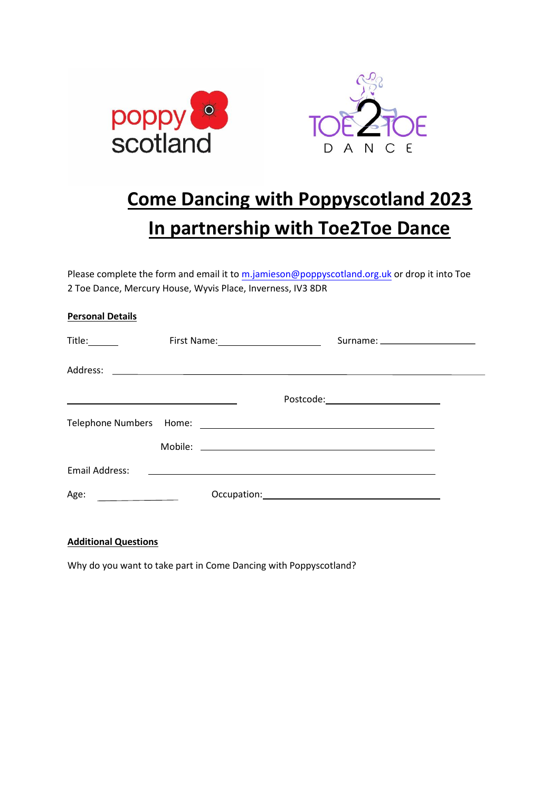

## **Come Dancing with Poppyscotland 2023 In partnership with Toe2Toe Dance**

Please complete the form and email it to [m.jamieson@poppyscotland.org.uk](mailto:m.jamieson@poppyscotland.org.uk) or drop it into Toe 2 Toe Dance, Mercury House, Wyvis Place, Inverness, IV3 8DR

| <b>Personal Details</b>                   |                             |  |                                                                                                                       |  |
|-------------------------------------------|-----------------------------|--|-----------------------------------------------------------------------------------------------------------------------|--|
| Title:______                              | First Name: 1990 March 1999 |  | Surname: _____________________                                                                                        |  |
|                                           |                             |  |                                                                                                                       |  |
|                                           |                             |  | Postcode:__________________________                                                                                   |  |
|                                           |                             |  |                                                                                                                       |  |
|                                           |                             |  |                                                                                                                       |  |
| Email Address:                            |                             |  | <u> 1999 - Jan Barbara, prima matematika kanton da kasas da shekara na shekara na shekara na shekara na shekara n</u> |  |
| Age:<br>and the control of the control of |                             |  |                                                                                                                       |  |

## **Additional Questions**

Why do you want to take part in Come Dancing with Poppyscotland?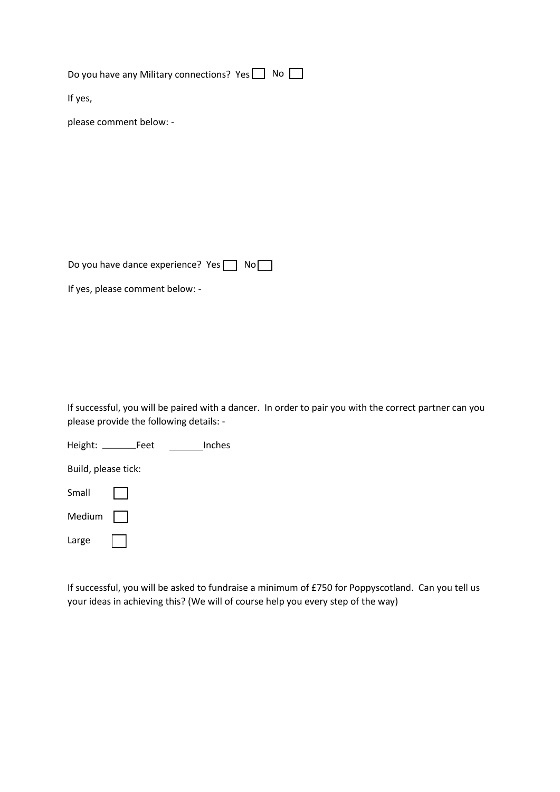Do you have any Military connections? Yes  $\Box$  No  $\Box$ 

If yes,

please comment below: -

Do you have dance experience? Yes  $\Box$  No $\Box$ 

If yes, please comment below: -

If successful, you will be paired with a dancer. In order to pair you with the correct partner can you please provide the following details: -

Height: Feet Inches

Build, please tick:

Small

Medium |

Large

If successful, you will be asked to fundraise a minimum of £750 for Poppyscotland. Can you tell us your ideas in achieving this? (We will of course help you every step of the way)